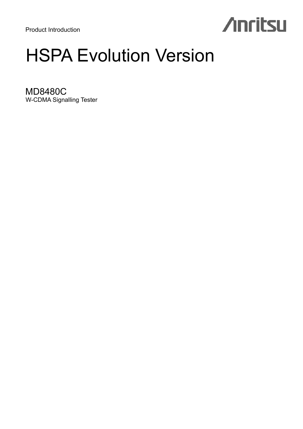Product Introduction

# **Anritsu**

# HSPA Evolution Version

MD8480C W-CDMA Signalling Tester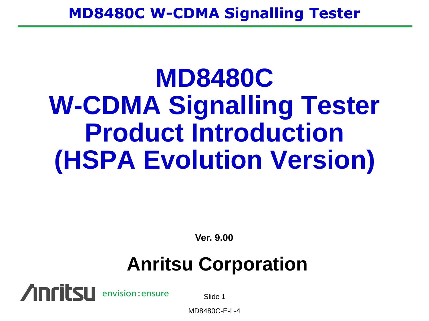# **MD8480C W-CDMA Signalling Tester Product Introduction (HSPA Evolution Version)**

**Ver. 9.00**

## **Anritsu Corporation**



Slide 1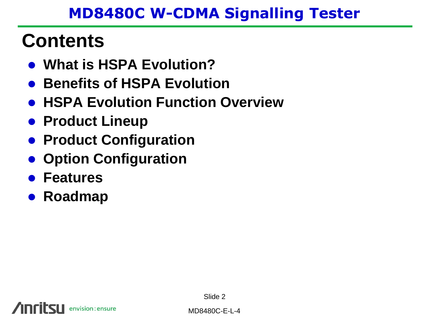## **Contents**

- **What is HSPA Evolution?**
- **Benefits of HSPA Evolution**
- **HSPA Evolution Function Overview**
- **Product Lineup**
- **Product Configuration**
- **Option Configuration**
- **Features**
- **Roadmap**

Slide 2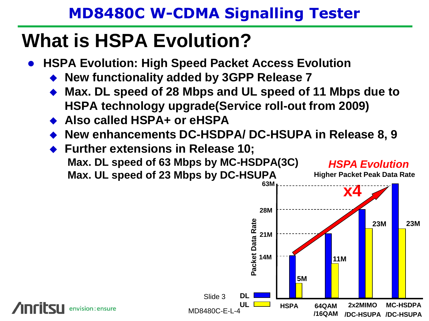## **What is HSPA Evolution?**

- **HSPA Evolution: High Speed Packet Access Evolution**
	- **New functionality added by 3GPP Release 7**
	- **Max. DL speed of 28 Mbps and UL speed of 11 Mbps due to HSPA technology upgrade(Service roll-out from 2009)**
	- **Also called HSPA+ or eHSPA**
	- **New enhancements DC-HSDPA/ DC-HSUPA in Release 8, 9**

Slide 3

◆ Further extensions in Release 10; **Max. DL speed of 63 Mbps by MC-HSDPA(3C) Max. UL speed of 23 Mbps by DC-HSUPA**



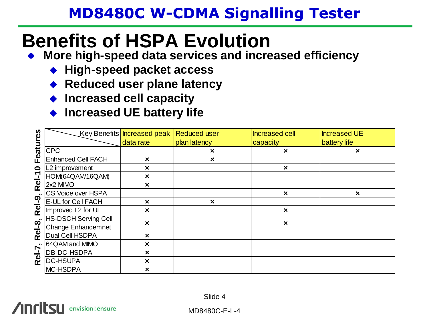## **Benefits of HSPA Evolution**

- **More high-speed data services and increased efficiency**
	- ◆ High-speed packet access
	- ◆ Reduced user plane latency
	- **Increased cell capacity**
	- ◆ Increased UE battery life

| ပ္ယ    |                             | Key Benefits   Increased peak   Reduced user |                           | Increased cell            | <b>Increased UE</b>       |
|--------|-----------------------------|----------------------------------------------|---------------------------|---------------------------|---------------------------|
|        |                             | data rate                                    | plan latency              | capacity                  | battery life              |
| Featur | <b>CPC</b>                  |                                              | $\boldsymbol{\mathsf{x}}$ | $\times$                  | $\boldsymbol{\times}$     |
|        | <b>Enhanced Cell FACH</b>   | $\boldsymbol{\times}$                        | $\boldsymbol{\mathsf{x}}$ |                           |                           |
| 0      | L2 improvement              | $\boldsymbol{\times}$                        |                           | $\boldsymbol{\mathsf{x}}$ |                           |
| Rel-1  | HOM(64QAM/16QAM)            | $\boldsymbol{\times}$                        |                           |                           |                           |
|        | 2x2 MIMO                    | $\boldsymbol{\times}$                        |                           |                           |                           |
|        | CS Voice over HSPA          |                                              |                           | $\boldsymbol{\mathsf{x}}$ | $\boldsymbol{\mathsf{x}}$ |
| Rel-9  | <b>E-UL for Cell FACH</b>   | $\boldsymbol{\times}$                        | $\boldsymbol{\times}$     |                           |                           |
|        | Improved L2 for UL          | $\boldsymbol{\mathsf{x}}$                    |                           | $\boldsymbol{\mathsf{x}}$ |                           |
|        | <b>HS-DSCH Serving Cell</b> | $\boldsymbol{\mathsf{x}}$                    |                           | $\boldsymbol{\mathsf{x}}$ |                           |
| Rel-8, | Change Enhancemnet          |                                              |                           |                           |                           |
|        | Dual Cell HSDPA             | $\boldsymbol{\mathsf{x}}$                    |                           |                           |                           |
|        | 64QAM and MIMO              | $\boldsymbol{\mathsf{x}}$                    |                           |                           |                           |
| Rel-7, | DB-DC-HSDPA                 | ×                                            |                           |                           |                           |
|        | <b>DC-HSUPA</b>             | $\boldsymbol{\times}$                        |                           |                           |                           |
|        | MC-HSDPA                    | $\boldsymbol{\times}$                        |                           |                           |                           |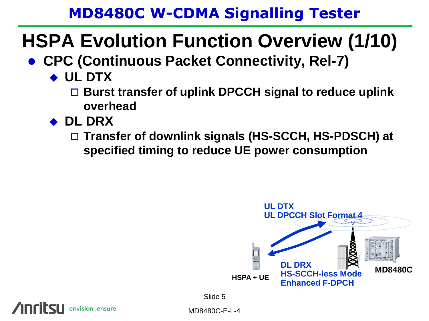## **HSPA Evolution Function Overview (1/10)**

- **CPC (Continuous Packet Connectivity, Rel-7)** 
	- **UL DTX**
		- **Burst transfer of uplink DPCCH signal to reduce uplink overhead**
	- **DL DRX**

envision: ensure

 **Transfer of downlink signals (HS-SCCH, HS-PDSCH) at specified timing to reduce UE power consumption**

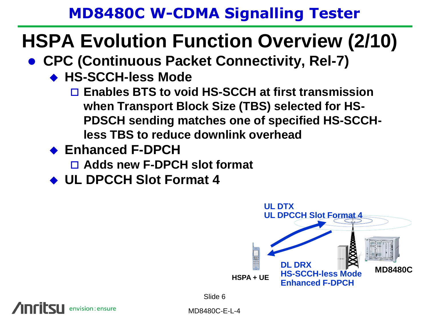## **HSPA Evolution Function Overview (2/10)**

- **CPC (Continuous Packet Connectivity, Rel-7)**
	- **HS-SCCH-less Mode**
		- **Enables BTS to void HS-SCCH at first transmission when Transport Block Size (TBS) selected for HS-PDSCH sending matches one of specified HS-SCCHless TBS to reduce downlink overhead**
	- **Enhanced F-DPCH**

envision: ensure

- **Adds new F-DPCH slot format**
- **UL DPCCH Slot Format 4**

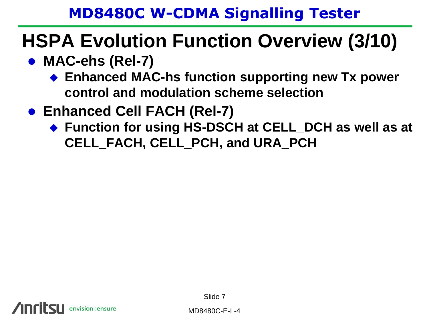## **HSPA Evolution Function Overview (3/10)**

- MAC-ehs (Rel-7)
	- ◆ Enhanced MAC-hs function supporting new Tx power **control and modulation scheme selection**
- **Enhanced Cell FACH (Rel-7)**
	- ◆ Function for using HS-DSCH at CELL\_DCH as well as at **CELL\_FACH, CELL\_PCH, and URA\_PCH**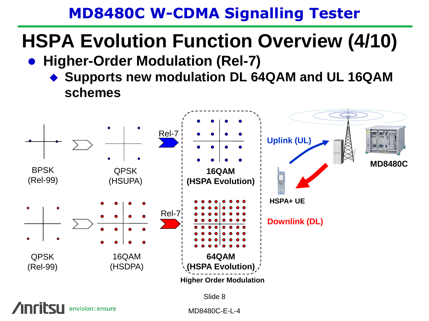## **HSPA Evolution Function Overview (4/10)**

- **Higher-Order Modulation (Rel-7)** 
	- ◆ Supports new modulation DL 64QAM and UL 16QAM **schemes**



Slide 8

envision: ensure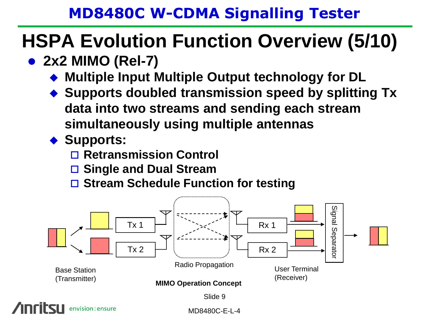## **HSPA Evolution Function Overview (5/10)**

## **2x2 MIMO (Rel-7)**

- **Multiple Input Multiple Output technology for DL**
- ◆ Supports doubled transmission speed by splitting Tx **data into two streams and sending each stream simultaneously using multiple antennas**

#### ◆ Supports:

- **Retransmission Control**
- **Single and Dual Stream**
- **Stream Schedule Function for testing**

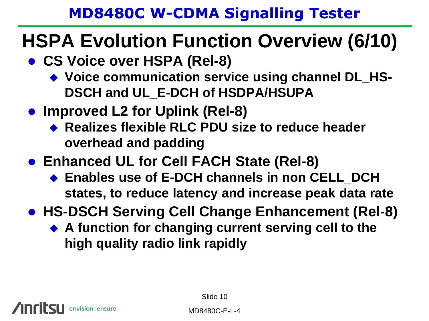## **HSPA Evolution Function Overview (6/10)**

- **CS Voice over HSPA (Rel-8)**
	- ◆ Voice communication service using channel DL\_HS-**DSCH and UL\_E-DCH of HSDPA/HSUPA**
- **Improved L2 for Uplink (Rel-8)**
	- ◆ Realizes flexible RLC PDU size to reduce header **overhead and padding**
- **Enhanced UL for Cell FACH State (Rel-8)**
	- ◆ Enables use of E-DCH channels in non CELL DCH **states, to reduce latency and increase peak data rate**
- **HS-DSCH Serving Cell Change Enhancement (Rel-8)**
	- ◆ A function for changing current serving cell to the **high quality radio link rapidly**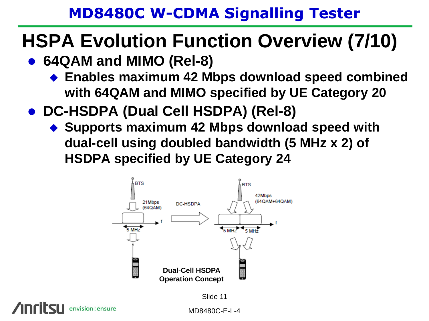## **HSPA Evolution Function Overview (7/10)**

- **64QAM and MIMO (Rel-8)**
	- **Enables maximum 42 Mbps download speed combined with 64QAM and MIMO specified by UE Category 20**
- **DC-HSDPA (Dual Cell HSDPA) (Rel-8)**
	- ◆ Supports maximum 42 Mbps download speed with **dual-cell using doubled bandwidth (5 MHz x 2) of HSDPA specified by UE Category 24**



envision : ensure

Slide 11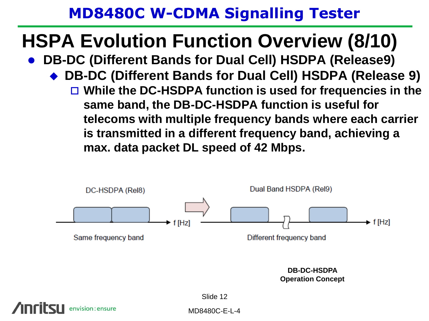## **HSPA Evolution Function Overview (8/10)**

- **DB-DC (Different Bands for Dual Cell) HSDPA (Release9)**
	- **DB-DC (Different Bands for Dual Cell) HSDPA (Release 9) While the DC-HSDPA function is used for frequencies in the same band, the DB-DC-HSDPA function is useful for telecoms with multiple frequency bands where each carrier is transmitted in a different frequency band, achieving a** 
		- **max. data packet DL speed of 42 Mbps.**



**Operation Concept**

Slide 12

MD8480C-E-L-4

nvision:ensure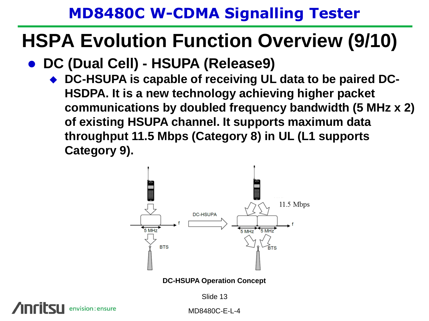## **HSPA Evolution Function Overview (9/10)**

- **DC (Dual Cell) - HSUPA (Release9)**
	- ◆ DC-HSUPA is capable of receiving UL data to be paired DC-**HSDPA. It is a new technology achieving higher packet communications by doubled frequency bandwidth (5 MHz x 2) of existing HSUPA channel. It supports maximum data throughput 11.5 Mbps (Category 8) in UL (L1 supports Category 9).**



Slide 13

envision: ensure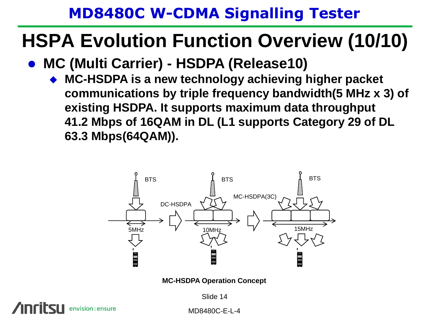## **HSPA Evolution Function Overview (10/10)**

- **MC (Multi Carrier) - HSDPA (Release10)**
	- **MC-HSDPA is a new technology achieving higher packet communications by triple frequency bandwidth(5 MHz x 3) of existing HSDPA. It supports maximum data throughput 41.2 Mbps of 16QAM in DL (L1 supports Category 29 of DL 63.3 Mbps(64QAM)).**



**MC-HSDPA Operation Concept**

Slide 14

nvision : ensure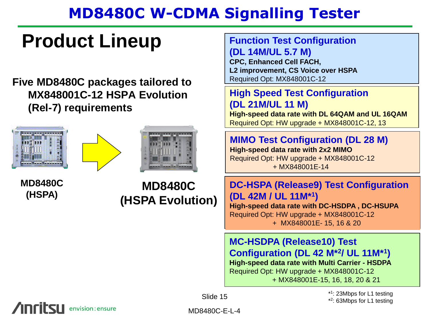## **Product Lineup**

#### **Five MD8480C packages tailored to MX848001C-12 HSPA Evolution (Rel-7) requirements**







**MD8480C (HSPA)**

**MD8480C (HSPA Evolution)**

#### **Function Test Configuration (DL 14M/UL 5.7 M)**

**CPC, Enhanced Cell FACH, L2 improvement, CS Voice over HSPA** Required Opt: MX848001C-12

#### **High Speed Test Configuration (DL 21M/UL 11 M)**

**High-speed data rate with DL 64QAM and UL 16QAM** Required Opt: HW upgrade + MX848001C-12, 13

#### **MIMO Test Configuration (DL 28 M)**

**High-speed data rate with 2x2 MIMO** Required Opt: HW upgrade + MX848001C-12 + MX848001E-14

#### **DC-HSPA (Release9) Test Configuration (DL 42M / UL 11M\*<sup>1</sup> )**

**High-speed data rate with DC-HSDPA , DC-HSUPA**  Required Opt: HW upgrade + MX848001C-12 + MX848001E- 15, 16 & 20

**MC-HSDPA (Release10) Test Configuration (DL 42 M\*<sup>2</sup> / UL 11M\*<sup>1</sup> ) High-speed data rate with Multi Carrier - HSDPA** Required Opt: HW upgrade + MX848001C-12 + MX848001E-15, 16, 18, 20 & 21

> \* 1 : 23Mbps for L1 testing \* 2 : 63Mbps for L1 testing

envision: ensure

Slide 15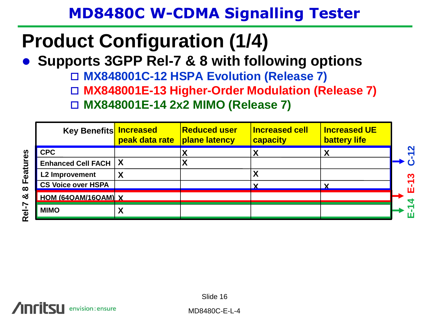## **Product Configuration (1/4)**

**Supports 3GPP Rel-7 & 8 with following options**

**MX848001C-12 HSPA Evolution (Release 7)**

**MX848001E-13 Higher-Order Modulation (Release 7)**

**MX848001E-14 2x2 MIMO (Release 7)**

| <b>Key Benefits</b>       | <b>Increased</b><br>peak data rate | <b>Reduced user</b><br><b>plane latency</b> | <b>Increased cell</b><br>capacity | <b>Increased UE</b><br><b>battery life</b> |              |
|---------------------------|------------------------------------|---------------------------------------------|-----------------------------------|--------------------------------------------|--------------|
| <b>CPC</b>                |                                    |                                             |                                   |                                            | $\sim$       |
| Enhanced Cell FACH   X    |                                    |                                             |                                   |                                            |              |
| <b>L2 Improvement</b>     |                                    |                                             |                                   |                                            | $\mathbf{C}$ |
| <b>CS Voice over HSPA</b> |                                    |                                             |                                   |                                            |              |
| HOM (64QAM/16QAM) X       |                                    |                                             |                                   |                                            |              |
| <b>MIMO</b>               | Λ                                  |                                             |                                   |                                            |              |

envision: ensure

Slide 16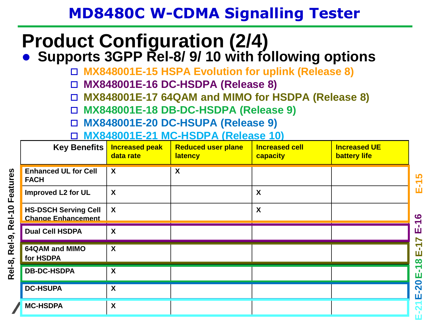# **Product Configuration (2/4)**

**• Supports 3GPP Rel-8/ 9/ 10 with following options** 

**MX848001E-15 HSPA Evolution for uplink (Release 8)**

**MX848001E-16 DC-HSDPA (Release 8)**

**MX848001E-17 64QAM and MIMO for HSDPA (Release 8)**

**MX848001E-18 DB-DC-HSDPA (Release 9)**

**MX848001E-20 DC-HSUPA (Release 9)**

**MX848001E-21 MC-HSDPA (Release 10)**

| <b>Key Benefits</b>                                      | <b>Increased peak</b><br>data rate | <b>Reduced user plane</b><br><b>latency</b> | <b>Increased cell</b><br>capacity | <b>Increased UE</b><br><b>battery life</b> |                             |
|----------------------------------------------------------|------------------------------------|---------------------------------------------|-----------------------------------|--------------------------------------------|-----------------------------|
| <b>Enhanced UL for Cell</b><br><b>FACH</b>               | $\boldsymbol{\mathsf{X}}$          | $\boldsymbol{X}$                            |                                   |                                            | $E-15$                      |
| <b>Improved L2 for UL</b>                                | $\boldsymbol{\mathsf{X}}$          |                                             | $\boldsymbol{\mathsf{X}}$         |                                            |                             |
| <b>HS-DSCH Serving Cell</b><br><b>Change Enhancement</b> | $\boldsymbol{X}$                   |                                             | $\boldsymbol{\mathsf{X}}$         |                                            | $\bullet$<br>↽              |
| <b>Dual Cell HSDPA</b>                                   | X                                  |                                             |                                   |                                            | ш                           |
| 64QAM and MIMO<br>for HSDPA                              | $\boldsymbol{\mathsf{X}}$          |                                             |                                   |                                            | $\bf \tilde{L}$<br>$\infty$ |
| <b>DB-DC-HSDPA</b>                                       | X                                  |                                             |                                   |                                            | ↸<br>ш                      |
| <b>DC-HSUPA</b>                                          | X                                  |                                             |                                   |                                            | -20<br>ш                    |
| <b>MC-HSDPA</b>                                          | X                                  |                                             |                                   |                                            | $\overline{N}$              |

**E-15**

**E-17**

**E-18**

**E-20**

**E-21**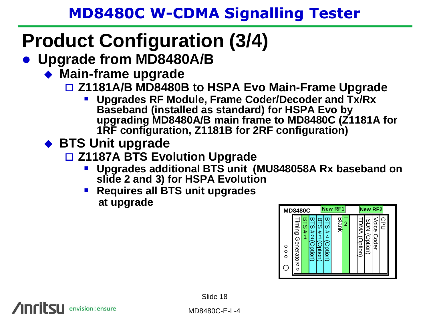## **Product Configuration (3/4)**

- **Upgrade from MD8480A/B**
	- **Main-frame upgrade**
		- **Z1181A/B MD8480B to HSPA Evo Main-Frame Upgrade**
			- **Upgrades RF Module, Frame Coder/Decoder and Tx/Rx Baseband (installed as standard) for HSPA Evo by upgrading MD8480A/B main frame to MD8480C (Z1181A for 1RF configuration, Z1181B for 2RF configuration)**
	- ◆ BTS Unit upgrade

envision: ensure

- **Z1187A BTS Evolution Upgrade**
	- **Upgrades additional BTS unit (MU848058A Rx baseband on slide 2 and 3) for HSPA Evolution**
	- **Requires all BTS unit upgrades at upgrade**



Slide 18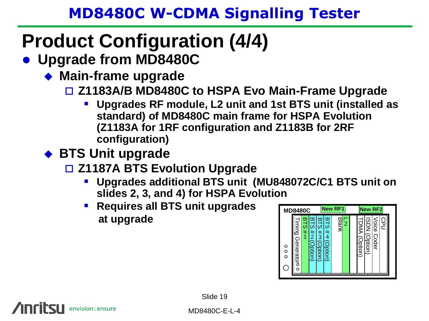# **Product Configuration (4/4)**

- **Upgrade from MD8480C**
	- **Main-frame upgrade**
		- **Z1183A/B MD8480C to HSPA Evo Main-Frame Upgrade**
			- **Upgrades RF module, L2 unit and 1st BTS unit (installed as standard) of MD8480C main frame for HSPA Evolution (Z1183A for 1RF configuration and Z1183B for 2RF configuration)**
	- ◆ BTS Unit upgrade

envision: ensure

- **Z1187A BTS Evolution Upgrade**
	- **Upgrades additional BTS unit (MU848072C/C1 BTS unit on slides 2, 3, and 4) for HSPA Evolution**
	- **Requires all BTS unit upgrades at upgrade**

| <b>MD8480C</b>                                        |                                                                                 | New RF1                                              | <b>New RF2</b>                                                          |  |
|-------------------------------------------------------|---------------------------------------------------------------------------------|------------------------------------------------------|-------------------------------------------------------------------------|--|
| Timing<br>Generatoro<br>O<br>$\circ$<br>$\Omega$<br>n | w<br>ω<br>ᢍ<br>ದ<br>ω<br>ഗ<br>#<br>#<br>$\frac{4}{2}$<br>3<br>)ption)<br>ption) | œ<br><b>BIRIK</b><br>2<br>ಪ<br>#<br>4<br>ĉ<br>ption) | Voice<br><b>NOSI</b><br>CPL<br>D<br>DNA<br>(Option)<br>idel.<br>)ption) |  |

Slide 19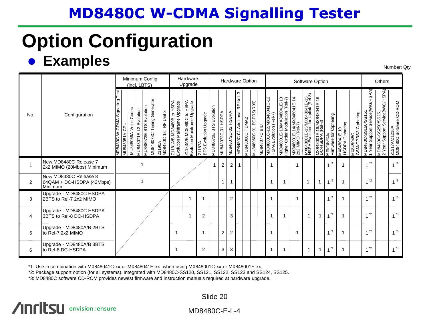# **Option Configuration**

### **e** Examples Number: Qty

|                |                                                               |                                                                 |                          | (incl. 1BTS)           | Minimum Config                                                         |                                 |                                                         | Hardware<br>Upgrade                                     |                                 |                                          |                           |                           |                                    | Hardware Option  |                                |               |                                                     |                                                              |                                               | Software Option                                                |                                               |                                     |                                               |                                   |                                                      | Others                                                            |                                          |
|----------------|---------------------------------------------------------------|-----------------------------------------------------------------|--------------------------|------------------------|------------------------------------------------------------------------|---------------------------------|---------------------------------------------------------|---------------------------------------------------------|---------------------------------|------------------------------------------|---------------------------|---------------------------|------------------------------------|------------------|--------------------------------|---------------|-----------------------------------------------------|--------------------------------------------------------------|-----------------------------------------------|----------------------------------------------------------------|-----------------------------------------------|-------------------------------------|-----------------------------------------------|-----------------------------------|------------------------------------------------------|-------------------------------------------------------------------|------------------------------------------|
| No.            | Configuration                                                 | Test<br>W-CDMA Signalling<br>CPU<br><b>MU848051A</b><br>O08+8UN | Codec<br>MU848056A Voice | MU848071E L2 Evolution | MU848073C Timing Generator<br><b>BTS Evolution</b><br><b>AU848072E</b> | Z1190A<br>MD8480C 1st RF Unit 3 | Z1181A/B MD8480B to HSPA<br>Evolution Mainframe Upgrade | Z1183A/B MD8480C to HSPA<br>Evolution Mainframe Upgrade | BTS Evolution Upgrade<br>Z1187A | <b>BTS Evolution</b><br><b>MU848072E</b> | <b>MU848072C-01 HSDPA</b> | <b>MU848072C-02 HSUPA</b> | S<br>MD8480C-04 Additional RF Unit | VIU848060C TDMA2 | <b>JU848060C-01 EGPRS(R99)</b> | MU848077C BIU | MX848001C-12/MX848041C-12<br>HSPA Evolution (Rel-7) | WX848001E-13/MX848041E-13<br>ligher Order Modulation (Rel-7) | MX848001E-14/MX848041E-14<br>2x2 MIMO (Rel-7) | MX848001E-15/MX848041E-15<br>HSPA Evolution for Uplink (Rel-8) | MX848001E-16/MX848041E-16<br>DC-HSDPA (Rel-8) | MX848041E<br>Firmware for Ciphering | <b>HSDPA Ciphering</b><br><b>NX848041E-10</b> | VIX848045C<br>GSM/GPRS2 Ciphering | Year Support Service(W/G/HSPA<br>MD8480C-SS150/SS151 | MD8480C-SS250/SS251<br>2 Year Support Service(W/G/HSPA<br>Support | Z1217A/Z1218A<br>MD8480C Software CD-ROM |
|                | New MD8480C Release 7<br>2x2 MIMO (28Mbps) Minimum            |                                                                 |                          |                        |                                                                        |                                 |                                                         |                                                         |                                 |                                          | $\mathbf 2$               | $\overline{2}$            | 1                                  |                  |                                |               |                                                     |                                                              |                                               |                                                                |                                               | $1^*$                               |                                               |                                   | $^*2$                                                |                                                                   | $1^{3}$                                  |
| $\overline{2}$ | New MD8480C Release 8<br>64QAM + DC-HSDPA (42Mbps)<br>Minimum |                                                                 |                          |                        |                                                                        |                                 |                                                         |                                                         |                                 |                                          |                           | 1                         |                                    |                  |                                |               |                                                     | -1                                                           |                                               | 1                                                              | 1                                             | $^*1$                               |                                               |                                   | $^*2$                                                |                                                                   | $1^{3}$                                  |
| 3              | Upgrade - MD8480C HSDPA<br>2BTS to Rel-7 2x2 MIMO             |                                                                 |                          |                        |                                                                        |                                 |                                                         | 1                                                       |                                 |                                          |                           | $\overline{2}$            |                                    |                  |                                |               |                                                     |                                                              |                                               |                                                                |                                               | -*1                                 |                                               |                                   | $^*2$                                                |                                                                   | $1^{3}$                                  |
| 4              | Upgrade - MD8480C HSDPA<br>3BTS to Rel-8 DC-HSDPA             |                                                                 |                          |                        |                                                                        |                                 |                                                         | 1                                                       | $\overline{2}$                  |                                          |                           | 3                         |                                    |                  |                                |               |                                                     | -1                                                           |                                               | 1                                                              |                                               | $^*1$                               |                                               |                                   | $^*2$                                                |                                                                   | $4*3$                                    |
| 5              | Upgrade - MD8480A/B 2BTS<br>to Rel-7 2x2 MIMO                 |                                                                 |                          |                        |                                                                        |                                 | -1                                                      |                                                         |                                 |                                          | $\overline{2}$            | $\overline{2}$            |                                    |                  |                                |               |                                                     |                                                              | -1                                            |                                                                |                                               | $^*1$                               |                                               |                                   | $^*2$                                                |                                                                   | $1^{3}$                                  |
| 6              | Upgrade - MD8480A/B 3BTS<br>to Rel-8 DC-HSDPA                 |                                                                 |                          |                        |                                                                        |                                 |                                                         |                                                         | 2                               |                                          | 3                         | 3                         |                                    |                  |                                |               |                                                     | -1                                                           |                                               | $\overline{\mathbf{1}}$                                        |                                               | $1^*$                               |                                               |                                   | $^*2$                                                |                                                                   | $1^{*3}$                                 |

\*1: Use in combination with MX848041C-xx or MX848041E-xx when using MX848001C-xx or MX848001E-xx.

\*2: Package support option (for all systems). Integrated with MD8480C-SS120, SS121, SS122, SS123 and SS124, SS125.

\*3: MD8480C software CD-ROM provides newest firmware and instruction manuals required at hardware upgrade.

#### **Anritsu** envision: ensure

Slide 20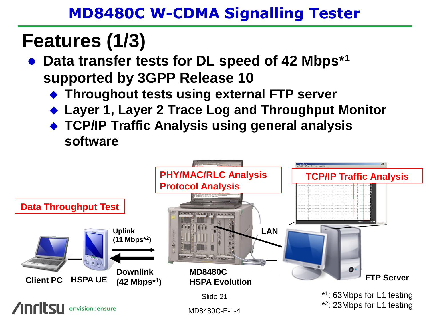## **Features (1/3)**

- **Data transfer tests for DL speed of 42 Mbps\*<sup>1</sup> supported by 3GPP Release 10**
	- **Throughout tests using external FTP server**
	- ◆ Layer 1, Layer 2 Trace Log and Throughput Monitor
	- **TCP/IP Traffic Analysis using general analysis software**

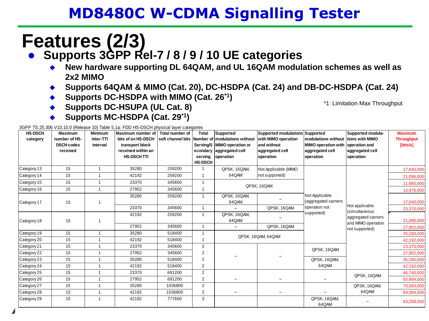## **Features (2/3)**

#### **Supports 3GPP Rel-7 / 8 / 9 / 10 UE categories**

- **New hardware supporting DL 64QAM, and UL 16QAM modulation schemes as well as 2x2 MIMO**
- ◆ Supports 64QAM & MIMO (Cat. 20), DC-HSDPA (Cat. 24) and DB-DC-HSDPA (Cat. 24)
- ◆ Supports DC-HSDPA with MIMO (Cat. 26<sup> $*$ 1</sup>)

\*1:Limitation Max Throughput

◆ Supports DC-HSUPA (UL Cat. 8) **Supports MC-HSDPA (Cat. 29\*1)**

3GPP TS.25.306 V10.10.0 (Release 10) Table 5.1a: FDD HS-DSCH physical layer categories

| <b>HS-DSCH</b><br>category | <b>Maximum</b><br>number of HS-<br><b>DSCH codes</b><br>received | <b>Minimum</b><br>inter-TTI<br>interval | Maximum number of I Total number of<br>bits of an HS-DSCH<br>transport block<br>received within an<br><b>HS-DSCH TTI</b> |         | <b>Total</b><br>serving<br><b>HS-DSCH</b> | Supported<br>soft channel bits Number of modulations without<br>Serving/S   MIMO operation or<br>econdary aggregated cell<br>operation | Supported modulations Supported<br>with MIMO operation<br>and without<br>aggregated cell<br>operation | modulations without tions with MIMO<br>MIMO operation with operation and<br>aggregated cell<br>operation | Supported modula-<br>aggregated cell<br>operation | <b>Maximum</b><br><b>Throughput</b><br>[bits/s] |
|----------------------------|------------------------------------------------------------------|-----------------------------------------|--------------------------------------------------------------------------------------------------------------------------|---------|-------------------------------------------|----------------------------------------------------------------------------------------------------------------------------------------|-------------------------------------------------------------------------------------------------------|----------------------------------------------------------------------------------------------------------|---------------------------------------------------|-------------------------------------------------|
| Category 13                | 15                                                               | 1                                       | 35280                                                                                                                    | 259200  | 1                                         | QPSK, 16QAM,                                                                                                                           | Not Applicable (MIMO                                                                                  |                                                                                                          |                                                   | 17,640,000                                      |
| Category 14                | 15                                                               |                                         | 42192                                                                                                                    | 259200  |                                           | 64QAM                                                                                                                                  | not supported)                                                                                        |                                                                                                          |                                                   | 21,096,000                                      |
| Category 15                | 15                                                               |                                         | 23370                                                                                                                    | 345600  |                                           |                                                                                                                                        | QPSK, 16QAM                                                                                           |                                                                                                          |                                                   | 11,685,000                                      |
| Category 16                | 15                                                               | $\overline{1}$                          | 27952                                                                                                                    | 345600  |                                           |                                                                                                                                        |                                                                                                       |                                                                                                          |                                                   | 13,976,000                                      |
| Category 17                | 15                                                               |                                         | 35280                                                                                                                    | 259200  | 1                                         | QPSK, 16QAM,<br>64QAM                                                                                                                  |                                                                                                       | Not Applicable<br>(aggregated carriers                                                                   | Not applicable                                    | 17,640,000                                      |
|                            |                                                                  |                                         | 23370                                                                                                                    | 345600  | $\mathbf{1}$                              |                                                                                                                                        | QPSK, 16QAM                                                                                           | operation not<br>supported)                                                                              | (simultaneous                                     | 23,370,000                                      |
| Category 18                | 15                                                               |                                         | 42192                                                                                                                    | 259200  | $\mathbf{1}$                              | QPSK, 16QAM,<br>64QAM                                                                                                                  |                                                                                                       |                                                                                                          | aggregated carriers<br>and MIMO operation         | 21,096,000                                      |
|                            |                                                                  |                                         | 27952                                                                                                                    | 345600  | $\mathbf{1}$                              |                                                                                                                                        | QPSK, 16QAM                                                                                           |                                                                                                          | not supported)                                    | 27,952,000                                      |
| Category 19                | 15                                                               |                                         | 35280                                                                                                                    | 518400  |                                           |                                                                                                                                        | QPSK, 16QAM, 64QAM                                                                                    |                                                                                                          |                                                   | 35,280,000                                      |
| Category 20                | 15                                                               | $\overline{1}$                          | 42192                                                                                                                    | 518400  |                                           |                                                                                                                                        |                                                                                                       |                                                                                                          |                                                   | 42,192,000                                      |
| Category 21                | 15                                                               | $\mathbf{1}$                            | 23370                                                                                                                    | 345600  | $\overline{2}$                            |                                                                                                                                        |                                                                                                       | QPSK, 16QAM                                                                                              |                                                   | 23,370,000                                      |
| Category 22                | 15                                                               |                                         | 27952                                                                                                                    | 345600  | $\overline{2}$                            |                                                                                                                                        |                                                                                                       |                                                                                                          |                                                   | 27,952,000                                      |
| Category 23                | 15                                                               | $\overline{1}$                          | 35280                                                                                                                    | 518400  | $\overline{2}$                            |                                                                                                                                        |                                                                                                       | QPSK, 16QAM.                                                                                             |                                                   | 35,280,000                                      |
| Category 24                | 15                                                               |                                         | 42192                                                                                                                    | 518400  | 2                                         |                                                                                                                                        |                                                                                                       | 64QAM                                                                                                    |                                                   | 42,192,000                                      |
| Category 25                | 15                                                               |                                         | 23370                                                                                                                    | 691200  | $\overline{2}$                            |                                                                                                                                        |                                                                                                       |                                                                                                          | QPSK, 16QAM                                       | 46,740,000                                      |
| Category 26                | 15                                                               |                                         | 27952                                                                                                                    | 691200  | $\overline{2}$                            |                                                                                                                                        |                                                                                                       |                                                                                                          |                                                   | 55,904,000                                      |
| Category 27                | 15                                                               | $\overline{1}$                          | 35280                                                                                                                    | 1036800 | $\overline{2}$                            |                                                                                                                                        |                                                                                                       |                                                                                                          | QPSK, 16QAM,                                      | 70,560,000                                      |
| Category 28                | 15                                                               | 1                                       | 42192                                                                                                                    | 1036800 | 2                                         | -                                                                                                                                      | $\qquad \qquad -$                                                                                     |                                                                                                          | 64QAM                                             | 84,384,000                                      |
| Category 29                | 15                                                               |                                         | 42192                                                                                                                    | 777600  | 3                                         |                                                                                                                                        |                                                                                                       | QPSK, 16QAM,<br>64QAM                                                                                    |                                                   | 63,288,000                                      |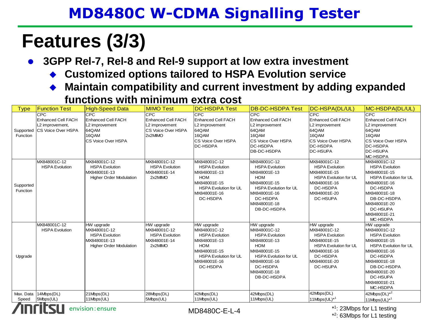## **Features (3/3)**

**3GPP Rel-7, Rel-8 and Rel-9 support at low extra investment**

- **Customized options tailored to HSPA Evolution service**
- **Maintain compatibility and current investment by adding expanded functions with minimum extra cost**

| <b>Type</b>           | <b>Function Test</b>                                                      | <b>High-Speed Data</b>                                                                                | <b>MIMO Test</b>                                                                           | <b>DC-HSDPA Test</b>                                                                                                                                          | <b>DB-DC-HSDPA Test</b>                                                                                                                                                                      | DC-HSPA(DL/UL)                                                                                                                                              | MC-HSDPA(DL/UL)                                                                                                                                                                                                        |  |  |  |  |
|-----------------------|---------------------------------------------------------------------------|-------------------------------------------------------------------------------------------------------|--------------------------------------------------------------------------------------------|---------------------------------------------------------------------------------------------------------------------------------------------------------------|----------------------------------------------------------------------------------------------------------------------------------------------------------------------------------------------|-------------------------------------------------------------------------------------------------------------------------------------------------------------|------------------------------------------------------------------------------------------------------------------------------------------------------------------------------------------------------------------------|--|--|--|--|
| Supported<br>Function | CPC<br><b>Enhanced Cell FACH</b><br>L2 improvement,<br>CS Voice Over HSPA | <b>CPC</b><br><b>Enhanced Cell FACH</b><br>L2 improvement<br>64QAM<br>16QAM<br>CS Voice Over HSPA     | <b>CPC</b><br><b>Enhanced Cell FACH</b><br>L2 improvement<br>CS Voice Over HSPA<br>2x2MIMO | <b>CPC</b><br><b>Enhanced Cell FACH</b><br>L2 improvement<br>64QAM<br>16QAM<br><b>CS Voice Over HSPA</b><br><b>DC-HSDPA</b>                                   | <b>CPC</b><br><b>Enhanced Cell FACH</b><br>L2 improvement<br>64QAM<br>16QAM<br>CS Voice Over HSPA<br><b>DC-HSDPA</b><br>DB-DC-HSDPA                                                          | CPC<br><b>Enhanced Cell FACH</b><br>L2 improvement<br>64QAM<br>16QAM<br><b>CS Voice Over HSPA</b><br><b>DC-HSDPA</b><br><b>DC-HSUPA</b>                     | <b>CPC</b><br>Enhanced Cell FACH<br>L2 improvement<br>64QAM<br>16QAM<br>CS Voice Over HSPA<br>DC-HSDPA<br><b>DC-HSUPA</b><br>MC-HSDPA                                                                                  |  |  |  |  |
| Supported<br>Function | MX848001C-12<br><b>HSPA Evolution</b>                                     | MX848001C-12<br><b>HSPA Evolution</b><br>MX848001E-13<br><b>Higher Order Modulation</b>               | MX848001C-12<br><b>HSPA Evolution</b><br>MX848001E-14<br>2x2MIMO                           | MX848001C-12<br><b>HSPA Evolution</b><br>MX848001E-13<br><b>HOM</b><br>MX848001E-15<br><b>HSPA Evolution for UL</b><br>MX848001E-16<br>DC-HSDPA               | MX848001C-12<br><b>HSPA</b> Evolution<br>MX848001E-13<br><b>HOM</b><br>MX848001E-15<br><b>HSPA Evolution for UL</b><br>MX848001E-16<br>DC-HSDPA<br>MX848001E-18<br>DB-DC-HSDPA               | MX848001C-12<br><b>HSPA Evolution</b><br>MX848001E-15<br><b>HSPA Evolution for UL</b><br>MX848001E-16<br>DC-HSDPA<br>MX848001E-20<br>DC-HSUPA               | MX848001C-12<br><b>HSPA Evolution</b><br>MX848001E-15<br><b>HSPA Evolution for UL</b><br>MX848001E-16<br>DC-HSDPA<br>MX848001E-18<br>DB-DC-HSDPA<br>MX848001E-20<br>DC-HSUPA<br>MX848001E-21<br>MC-HSDPA               |  |  |  |  |
| Upgrade               | MX848001C-12<br><b>HSPA Evolution</b>                                     | HW upgrade<br>MX848001C-12<br><b>HSPA Evolution</b><br>MX848001E-13<br><b>Higher Order Modulation</b> | HW upgrade<br>MX848001C-12<br><b>HSPA Evolution</b><br>MX848001E-14<br>2x2MIMO             | HW upgrade<br>MX848001C-12<br><b>HSPA Evolution</b><br>MX848001E-13<br><b>HOM</b><br>MX848001E-15<br><b>HSPA Evolution for UL</b><br>MX848001E-16<br>DC-HSDPA | HW upgrade<br>MX848001C-12<br><b>HSPA Evolution</b><br>MX848001E-13<br><b>HOM</b><br>MX848001E-15<br><b>HSPA Evolution for UL</b><br>MX848001E-16<br>DC-HSDPA<br>MX848001E-18<br>DB-DC-HSDPA | HW upgrade<br>MX848001C-12<br><b>HSPA Evolution</b><br>MX848001E-15<br><b>HSPA Evolution for UL</b><br>MX848001E-16<br>DC-HSDPA<br>MX848001E-20<br>DC-HSUPA | HW upgrade<br>MX848001C-12<br><b>HSPA Evolution</b><br>MX848001E-15<br><b>HSPA Evolution for UL</b><br>MX848001E-16<br>DC-HSDPA<br>MX848001E-18<br>DB-DC-HSDPA<br>MX848001E-20<br>DC-HSUPA<br>MX848001E-21<br>MC-HSDPA |  |  |  |  |
| Max. Data<br>Speed    | 14Mbps(DL)<br>5Mbps(UL)                                                   | 21Mbps(DL)<br>11Mbps(UL)                                                                              | 28Mbps(DL)<br>5Mbps(UL)                                                                    | 42Mbps(DL)<br>11Mbps(UL)                                                                                                                                      | 42Mbps(DL)<br>11Mbps(UL)                                                                                                                                                                     | 42Mbps(DL)<br>11Mbps(UL) <sup>*1</sup>                                                                                                                      | $42Mbps(DL)^{*2}$<br>$11$ Mbps $(UL)^{*1}$                                                                                                                                                                             |  |  |  |  |
|                       | envision: ensure<br>*1: 23Mbps for L1 testing<br>$MD8480C-F-I - 4$        |                                                                                                       |                                                                                            |                                                                                                                                                               |                                                                                                                                                                                              |                                                                                                                                                             |                                                                                                                                                                                                                        |  |  |  |  |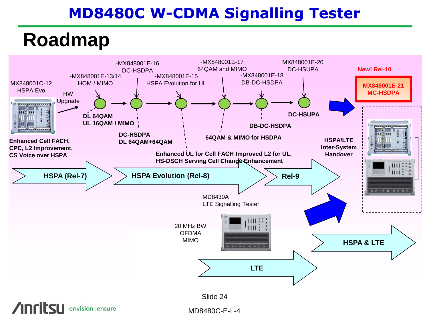## **Roadmap**